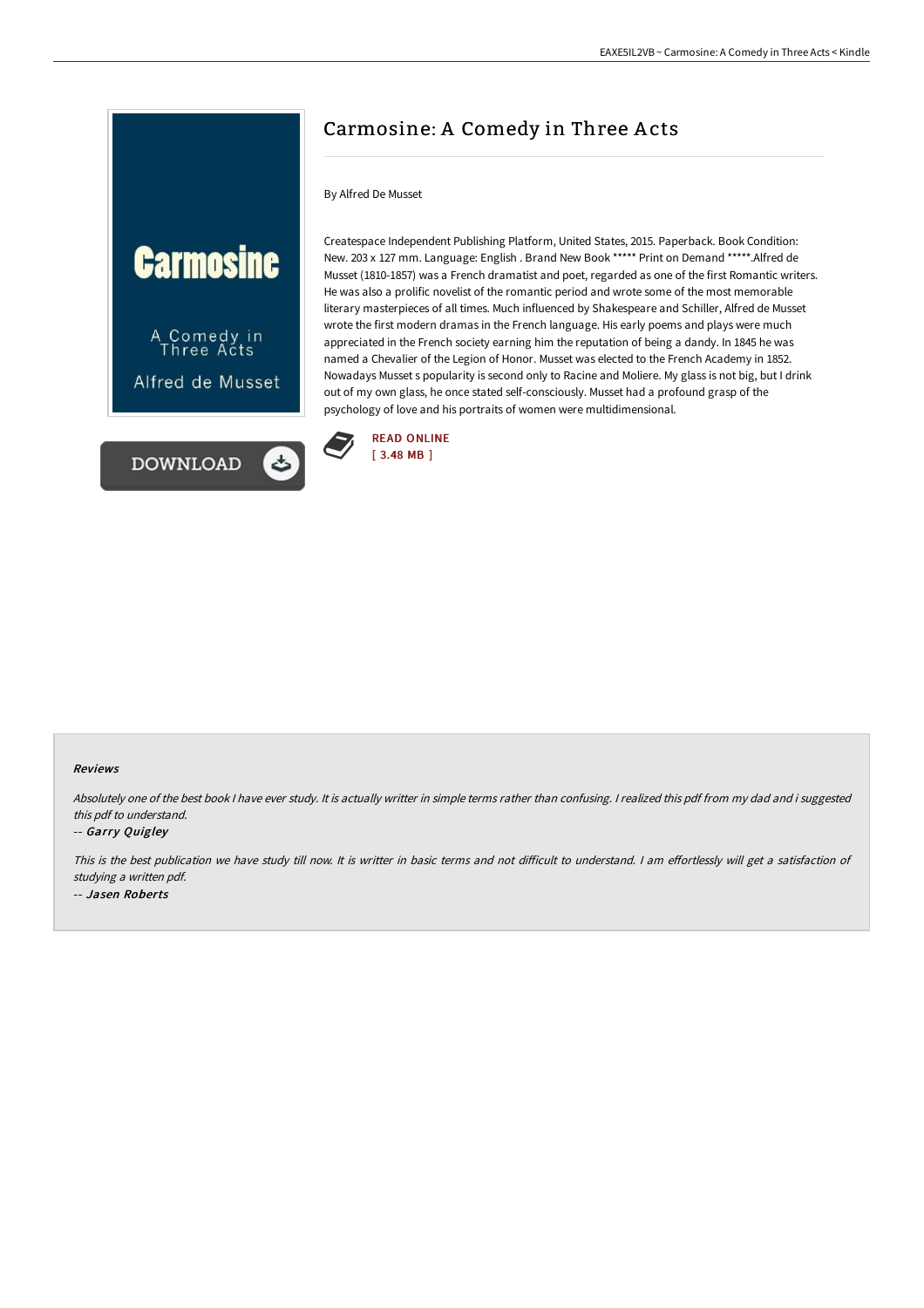



# Carmosine: A Comedy in Three A cts

#### By Alfred De Musset

Createspace Independent Publishing Platform, United States, 2015. Paperback. Book Condition: New. 203 x 127 mm. Language: English . Brand New Book \*\*\*\*\* Print on Demand \*\*\*\*\*.Alfred de Musset (1810-1857) was a French dramatist and poet, regarded as one of the first Romantic writers. He was also a prolific novelist of the romantic period and wrote some of the most memorable literary masterpieces of all times. Much influenced by Shakespeare and Schiller, Alfred de Musset wrote the first modern dramas in the French language. His early poems and plays were much appreciated in the French society earning him the reputation of being a dandy. In 1845 he was named a Chevalier of the Legion of Honor. Musset was elected to the French Academy in 1852. Nowadays Musset s popularity is second only to Racine and Moliere. My glass is not big, but I drink out of my own glass, he once stated self-consciously. Musset had a profound grasp of the psychology of love and his portraits of women were multidimensional.



#### Reviews

Absolutely one of the best book <sup>I</sup> have ever study. It is actually writter in simple terms rather than confusing. <sup>I</sup> realized this pdf from my dad and i suggested this pdf to understand.

#### -- Garry Quigley

This is the best publication we have study till now. It is writter in basic terms and not difficult to understand. I am effortlessly will get a satisfaction of studying <sup>a</sup> written pdf. -- Jasen Roberts